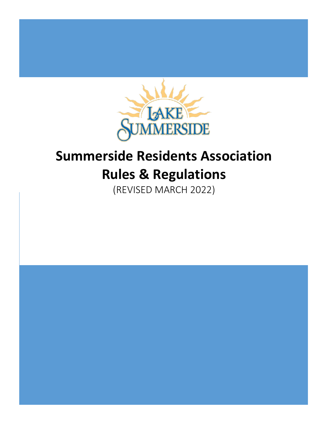

# **Summerside Residents Association Rules & Regulations**

(REVISED MARCH 2022)

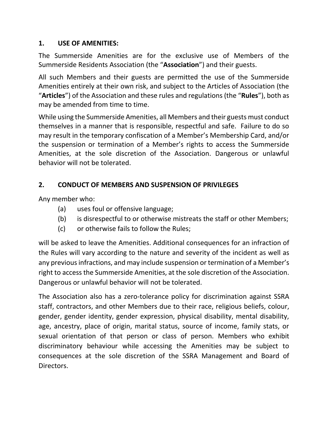## **1. USE OF AMENITIES:**

The Summerside Amenities are for the exclusive use of Members of the Summerside Residents Association (the "**Association**") and their guests.

All such Members and their guests are permitted the use of the Summerside Amenities entirely at their own risk, and subject to the Articles of Association (the "**Articles**") of the Association and these rules and regulations (the "**Rules**"), both as may be amended from time to time.

While using the Summerside Amenities, all Members and their guests must conduct themselves in a manner that is responsible, respectful and safe. Failure to do so may result in the temporary confiscation of a Member's Membership Card, and/or the suspension or termination of a Member's rights to access the Summerside Amenities, at the sole discretion of the Association. Dangerous or unlawful behavior will not be tolerated.

# **2. CONDUCT OF MEMBERS AND SUSPENSION OF PRIVILEGES**

Any member who:

- (a) uses foul or offensive language;
- (b) is disrespectful to or otherwise mistreats the staff or other Members;
- (c) or otherwise fails to follow the Rules;

will be asked to leave the Amenities. Additional consequences for an infraction of the Rules will vary according to the nature and severity of the incident as well as any previous infractions, and may include suspension or termination of a Member's right to access the Summerside Amenities, at the sole discretion of the Association. Dangerous or unlawful behavior will not be tolerated.

The Association also has a zero-tolerance policy for discrimination against SSRA staff, contractors, and other Members due to their race, religious beliefs, colour, gender, gender identity, gender expression, physical disability, mental disability, age, ancestry, place of origin, marital status, source of income, family stats, or sexual orientation of that person or class of person. Members who exhibit discriminatory behaviour while accessing the Amenities may be subject to consequences at the sole discretion of the SSRA Management and Board of Directors.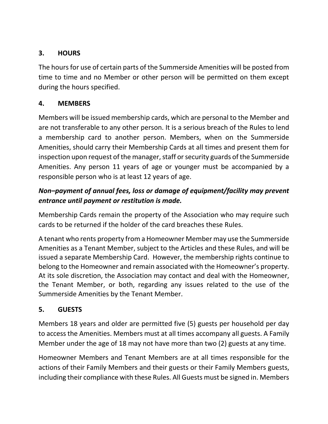# **3. HOURS**

The hours for use of certain parts of the Summerside Amenities will be posted from time to time and no Member or other person will be permitted on them except during the hours specified.

## **4. MEMBERS**

Members will be issued membership cards, which are personal to the Member and are not transferable to any other person. It is a serious breach of the Rules to lend a membership card to another person. Members, when on the Summerside Amenities, should carry their Membership Cards at all times and present them for inspection upon request of the manager, staff or security guards of the Summerside Amenities. Any person 11 years of age or younger must be accompanied by a responsible person who is at least 12 years of age.

# *Non–payment of annual fees, loss or damage of equipment/facility may prevent entrance until payment or restitution is made.*

Membership Cards remain the property of the Association who may require such cards to be returned if the holder of the card breaches these Rules.

A tenant who rents property from a Homeowner Member may use the Summerside Amenities as a Tenant Member, subject to the Articles and these Rules, and will be issued a separate Membership Card. However, the membership rights continue to belong to the Homeowner and remain associated with the Homeowner's property. At its sole discretion, the Association may contact and deal with the Homeowner, the Tenant Member, or both, regarding any issues related to the use of the Summerside Amenities by the Tenant Member.

# **5. GUESTS**

Members 18 years and older are permitted five (5) guests per household per day to access the Amenities. Members must at all times accompany all guests. A Family Member under the age of 18 may not have more than two (2) guests at any time.

Homeowner Members and Tenant Members are at all times responsible for the actions of their Family Members and their guests or their Family Members guests, including their compliance with these Rules. All Guests must be signed in. Members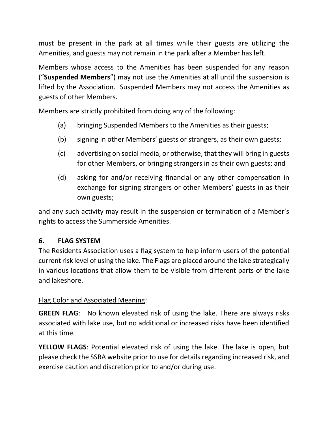must be present in the park at all times while their guests are utilizing the Amenities, and guests may not remain in the park after a Member has left.

Members whose access to the Amenities has been suspended for any reason ("**Suspended Members**") may not use the Amenities at all until the suspension is lifted by the Association. Suspended Members may not access the Amenities as guests of other Members.

Members are strictly prohibited from doing any of the following:

- (a) bringing Suspended Members to the Amenities as their guests;
- (b) signing in other Members' guests or strangers, as their own guests;
- (c) advertising on social media, or otherwise, that they will bring in guests for other Members, or bringing strangers in as their own guests; and
- (d) asking for and/or receiving financial or any other compensation in exchange for signing strangers or other Members' guests in as their own guests;

and any such activity may result in the suspension or termination of a Member's rights to access the Summerside Amenities.

## **6. FLAG SYSTEM**

The Residents Association uses a flag system to help inform users of the potential current risk level of using the lake. The Flags are placed around the lake strategically in various locations that allow them to be visible from different parts of the lake and lakeshore.

#### Flag Color and Associated Meaning:

**GREEN FLAG**: No known elevated risk of using the lake. There are always risks associated with lake use, but no additional or increased risks have been identified at this time.

**YELLOW FLAGS**: Potential elevated risk of using the lake. The lake is open, but please check the SSRA website prior to use for details regarding increased risk, and exercise caution and discretion prior to and/or during use.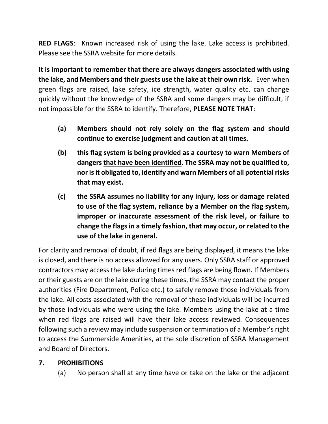**RED FLAGS**: Known increased risk of using the lake. Lake access is prohibited. Please see the SSRA website for more details.

**It is important to remember that there are always dangers associated with using the lake, and Members and their guests use the lake at their own risk.** Even when green flags are raised, lake safety, ice strength, water quality etc. can change quickly without the knowledge of the SSRA and some dangers may be difficult, if not impossible for the SSRA to identify. Therefore, **PLEASE NOTE THAT**:

- **(a) Members should not rely solely on the flag system and should continue to exercise judgment and caution at all times.**
- **(b) this flag system is being provided as a courtesy to warn Members of dangers that have been identified. The SSRA may not be qualified to, nor is it obligated to, identify and warn Members of all potential risks that may exist.**
- **(c) the SSRA assumes no liability for any injury, loss or damage related to use of the flag system, reliance by a Member on the flag system, improper or inaccurate assessment of the risk level, or failure to change the flags in a timely fashion, that may occur, or related to the use of the lake in general.**

For clarity and removal of doubt, if red flags are being displayed, it means the lake is closed, and there is no access allowed for any users. Only SSRA staff or approved contractors may access the lake during times red flags are being flown. If Members or their guests are on the lake during these times, the SSRA may contact the proper authorities (Fire Department, Police etc.) to safely remove those individuals from the lake. All costs associated with the removal of these individuals will be incurred by those individuals who were using the lake. Members using the lake at a time when red flags are raised will have their lake access reviewed. Consequences following such a review may include suspension or termination of a Member's right to access the Summerside Amenities, at the sole discretion of SSRA Management and Board of Directors.

## **7. PROHIBITIONS**

(a) No person shall at any time have or take on the lake or the adjacent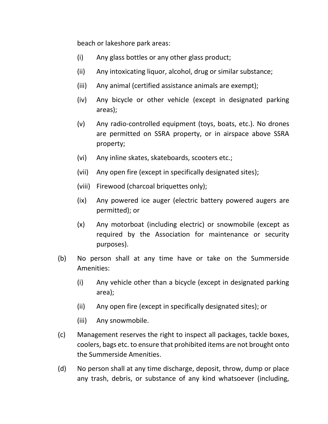beach or lakeshore park areas:

- (i) Any glass bottles or any other glass product;
- (ii) Any intoxicating liquor, alcohol, drug or similar substance;
- (iii) Any animal (certified assistance animals are exempt);
- (iv) Any bicycle or other vehicle (except in designated parking areas);
- (v) Any radio-controlled equipment (toys, boats, etc.). No drones are permitted on SSRA property, or in airspace above SSRA property;
- (vi) Any inline skates, skateboards, scooters etc.;
- (vii) Any open fire (except in specifically designated sites);
- (viii) Firewood (charcoal briquettes only);
- (ix) Any powered ice auger (electric battery powered augers are permitted); or
- (x) Any motorboat (including electric) or snowmobile (except as required by the Association for maintenance or security purposes).
- (b) No person shall at any time have or take on the Summerside Amenities:
	- (i) Any vehicle other than a bicycle (except in designated parking area);
	- (ii) Any open fire (except in specifically designated sites); or
	- (iii) Any snowmobile.
- (c) Management reserves the right to inspect all packages, tackle boxes, coolers, bags etc. to ensure that prohibited items are not brought onto the Summerside Amenities.
- (d) No person shall at any time discharge, deposit, throw, dump or place any trash, debris, or substance of any kind whatsoever (including,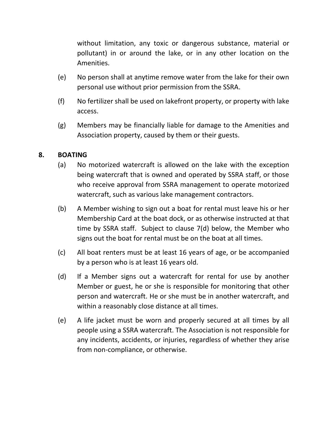without limitation, any toxic or dangerous substance, material or pollutant) in or around the lake, or in any other location on the Amenities.

- (e) No person shall at anytime remove water from the lake for their own personal use without prior permission from the SSRA.
- (f) No fertilizer shall be used on lakefront property, or property with lake access.
- (g) Members may be financially liable for damage to the Amenities and Association property, caused by them or their guests.

#### **8. BOATING**

- (a) No motorized watercraft is allowed on the lake with the exception being watercraft that is owned and operated by SSRA staff, or those who receive approval from SSRA management to operate motorized watercraft, such as various lake management contractors.
- (b) A Member wishing to sign out a boat for rental must leave his or her Membership Card at the boat dock, or as otherwise instructed at that time by SSRA staff. Subject to clause 7(d) below, the Member who signs out the boat for rental must be on the boat at all times.
- (c) All boat renters must be at least 16 years of age, or be accompanied by a person who is at least 16 years old.
- (d) If a Member signs out a watercraft for rental for use by another Member or guest, he or she is responsible for monitoring that other person and watercraft. He or she must be in another watercraft, and within a reasonably close distance at all times.
- (e) A life jacket must be worn and properly secured at all times by all people using a SSRA watercraft. The Association is not responsible for any incidents, accidents, or injuries, regardless of whether they arise from non-compliance, or otherwise.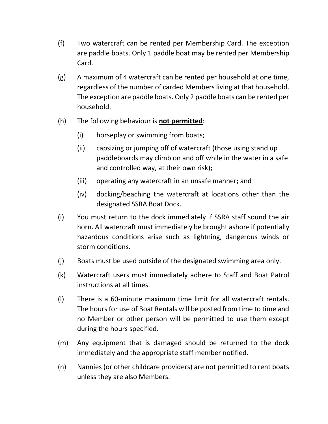- (f) Two watercraft can be rented per Membership Card. The exception are paddle boats. Only 1 paddle boat may be rented per Membership Card.
- (g) A maximum of 4 watercraft can be rented per household at one time, regardless of the number of carded Members living at that household. The exception are paddle boats. Only 2 paddle boats can be rented per household.
- (h) The following behaviour is **not permitted**:
	- (i) horseplay or swimming from boats;
	- (ii) capsizing or jumping off of watercraft (those using stand up paddleboards may climb on and off while in the water in a safe and controlled way, at their own risk);
	- (iii) operating any watercraft in an unsafe manner; and
	- (iv) docking/beaching the watercraft at locations other than the designated SSRA Boat Dock.
- (i) You must return to the dock immediately if SSRA staff sound the air horn. All watercraft must immediately be brought ashore if potentially hazardous conditions arise such as lightning, dangerous winds or storm conditions.
- (j) Boats must be used outside of the designated swimming area only.
- (k) Watercraft users must immediately adhere to Staff and Boat Patrol instructions at all times.
- (l) There is a 60-minute maximum time limit for all watercraft rentals. The hours for use of Boat Rentals will be posted from time to time and no Member or other person will be permitted to use them except during the hours specified.
- (m) Any equipment that is damaged should be returned to the dock immediately and the appropriate staff member notified.
- (n) Nannies (or other childcare providers) are not permitted to rent boats unless they are also Members.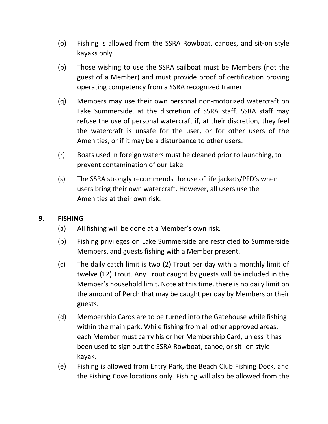- (o) Fishing is allowed from the SSRA Rowboat, canoes, and sit-on style kayaks only.
- (p) Those wishing to use the SSRA sailboat must be Members (not the guest of a Member) and must provide proof of certification proving operating competency from a SSRA recognized trainer.
- (q) Members may use their own personal non-motorized watercraft on Lake Summerside, at the discretion of SSRA staff. SSRA staff may refuse the use of personal watercraft if, at their discretion, they feel the watercraft is unsafe for the user, or for other users of the Amenities, or if it may be a disturbance to other users.
- (r) Boats used in foreign waters must be cleaned prior to launching, to prevent contamination of our Lake.
- (s) The SSRA strongly recommends the use of life jackets/PFD's when users bring their own watercraft. However, all users use the Amenities at their own risk.

## **9. FISHING**

- (a) All fishing will be done at a Member's own risk.
- (b) Fishing privileges on Lake Summerside are restricted to Summerside Members, and guests fishing with a Member present.
- (c) The daily catch limit is two (2) Trout per day with a monthly limit of twelve (12) Trout. Any Trout caught by guests will be included in the Member's household limit. Note at this time, there is no daily limit on the amount of Perch that may be caught per day by Members or their guests.
- (d) Membership Cards are to be turned into the Gatehouse while fishing within the main park. While fishing from all other approved areas, each Member must carry his or her Membership Card, unless it has been used to sign out the SSRA Rowboat, canoe, or sit- on style kayak.
- (e) Fishing is allowed from Entry Park, the Beach Club Fishing Dock, and the Fishing Cove locations only. Fishing will also be allowed from the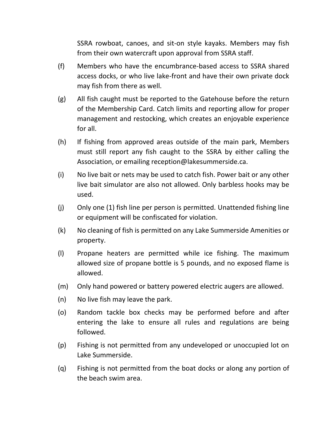SSRA rowboat, canoes, and sit-on style kayaks. Members may fish from their own watercraft upon approval from SSRA staff.

- (f) Members who have the encumbrance-based access to SSRA shared access docks, or who live lake-front and have their own private dock may fish from there as well.
- (g) All fish caught must be reported to the Gatehouse before the return of the Membership Card. Catch limits and reporting allow for proper management and restocking, which creates an enjoyable experience for all.
- (h) If fishing from approved areas outside of the main park, Members must still report any fish caught to the SSRA by either calling the Association, or emailing reception@lakesummerside.ca.
- (i) No live bait or nets may be used to catch fish. Power bait or any other live bait simulator are also not allowed. Only barbless hooks may be used.
- (j) Only one (1) fish line per person is permitted. Unattended fishing line or equipment will be confiscated for violation.
- (k) No cleaning of fish is permitted on any Lake Summerside Amenities or property.
- (l) Propane heaters are permitted while ice fishing. The maximum allowed size of propane bottle is 5 pounds, and no exposed flame is allowed.
- (m) Only hand powered or battery powered electric augers are allowed.
- (n) No live fish may leave the park.
- (o) Random tackle box checks may be performed before and after entering the lake to ensure all rules and regulations are being followed.
- (p) Fishing is not permitted from any undeveloped or unoccupied lot on Lake Summerside.
- (q) Fishing is not permitted from the boat docks or along any portion of the beach swim area.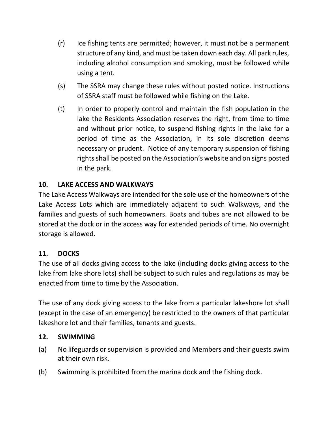- (r) Ice fishing tents are permitted; however, it must not be a permanent structure of any kind, and must be taken down each day. All park rules, including alcohol consumption and smoking, must be followed while using a tent.
- (s) The SSRA may change these rules without posted notice. Instructions of SSRA staff must be followed while fishing on the Lake.
- (t) In order to properly control and maintain the fish population in the lake the Residents Association reserves the right, from time to time and without prior notice, to suspend fishing rights in the lake for a period of time as the Association, in its sole discretion deems necessary or prudent. Notice of any temporary suspension of fishing rights shall be posted on the Association's website and on signs posted in the park.

## **10. LAKE ACCESS AND WALKWAYS**

The Lake Access Walkways are intended for the sole use of the homeowners of the Lake Access Lots which are immediately adjacent to such Walkways, and the families and guests of such homeowners. Boats and tubes are not allowed to be stored at the dock or in the access way for extended periods of time. No overnight storage is allowed.

## **11. DOCKS**

The use of all docks giving access to the lake (including docks giving access to the lake from lake shore lots) shall be subject to such rules and regulations as may be enacted from time to time by the Association.

The use of any dock giving access to the lake from a particular lakeshore lot shall (except in the case of an emergency) be restricted to the owners of that particular lakeshore lot and their families, tenants and guests.

## **12. SWIMMING**

- (a) No lifeguards or supervision is provided and Members and their guests swim at their own risk.
- (b) Swimming is prohibited from the marina dock and the fishing dock.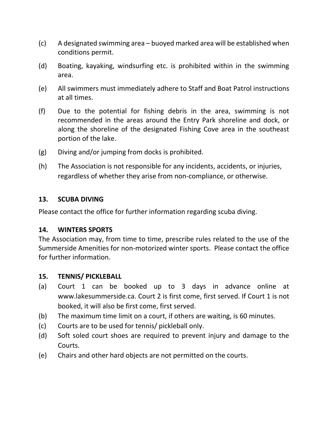- (c) A designated swimming area buoyed marked area will be established when conditions permit.
- (d) Boating, kayaking, windsurfing etc. is prohibited within in the swimming area.
- (e) All swimmers must immediately adhere to Staff and Boat Patrol instructions at all times.
- (f) Due to the potential for fishing debris in the area, swimming is not recommended in the areas around the Entry Park shoreline and dock, or along the shoreline of the designated Fishing Cove area in the southeast portion of the lake.
- (g) Diving and/or jumping from docks is prohibited.
- (h) The Association is not responsible for any incidents, accidents, or injuries, regardless of whether they arise from non-compliance, or otherwise.

#### **13. SCUBA DIVING**

Please contact the office for further information regarding scuba diving.

#### **14. WINTERS SPORTS**

The Association may, from time to time, prescribe rules related to the use of the Summerside Amenities for non-motorized winter sports. Please contact the office for further information.

#### **15. TENNIS/ PICKLEBALL**

- (a) Court 1 can be booked up to 3 days in advance online at www.lakesummerside.ca. Court 2 is first come, first served. If Court 1 is not booked, it will also be first come, first served.
- (b) The maximum time limit on a court, if others are waiting, is 60 minutes.
- (c) Courts are to be used for tennis/ pickleball only.
- (d) Soft soled court shoes are required to prevent injury and damage to the Courts.
- (e) Chairs and other hard objects are not permitted on the courts.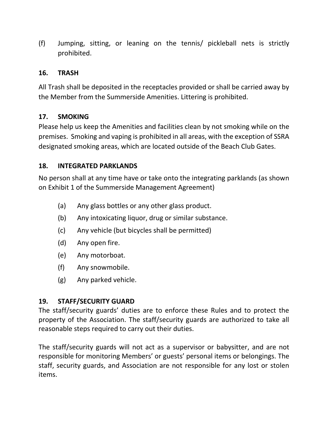(f) Jumping, sitting, or leaning on the tennis/ pickleball nets is strictly prohibited.

## **16. TRASH**

All Trash shall be deposited in the receptacles provided or shall be carried away by the Member from the Summerside Amenities. Littering is prohibited.

## **17. SMOKING**

Please help us keep the Amenities and facilities clean by not smoking while on the premises. Smoking and vaping is prohibited in all areas, with the exception of SSRA designated smoking areas, which are located outside of the Beach Club Gates.

## **18. INTEGRATED PARKLANDS**

No person shall at any time have or take onto the integrating parklands (as shown on Exhibit 1 of the Summerside Management Agreement)

- (a) Any glass bottles or any other glass product.
- (b) Any intoxicating liquor, drug or similar substance.
- (c) Any vehicle (but bicycles shall be permitted)
- (d) Any open fire.
- (e) Any motorboat.
- (f) Any snowmobile.
- (g) Any parked vehicle.

## **19. STAFF/SECURITY GUARD**

The staff/security guards' duties are to enforce these Rules and to protect the property of the Association. The staff/security guards are authorized to take all reasonable steps required to carry out their duties.

The staff/security guards will not act as a supervisor or babysitter, and are not responsible for monitoring Members' or guests' personal items or belongings. The staff, security guards, and Association are not responsible for any lost or stolen items.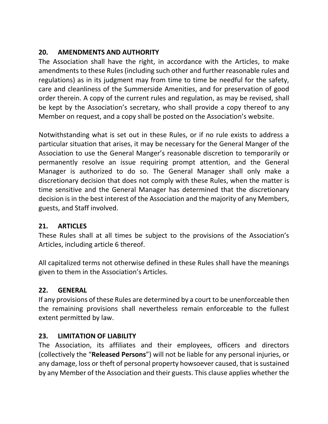# **20. AMENDMENTS AND AUTHORITY**

The Association shall have the right, in accordance with the Articles, to make amendments to these Rules (including such other and further reasonable rules and regulations) as in its judgment may from time to time be needful for the safety, care and cleanliness of the Summerside Amenities, and for preservation of good order therein. A copy of the current rules and regulation, as may be revised, shall be kept by the Association's secretary, who shall provide a copy thereof to any Member on request, and a copy shall be posted on the Association's website.

Notwithstanding what is set out in these Rules, or if no rule exists to address a particular situation that arises, it may be necessary for the General Manger of the Association to use the General Manger's reasonable discretion to temporarily or permanently resolve an issue requiring prompt attention, and the General Manager is authorized to do so. The General Manager shall only make a discretionary decision that does not comply with these Rules, when the matter is time sensitive and the General Manager has determined that the discretionary decision is in the best interest of the Association and the majority of any Members, guests, and Staff involved.

## **21. ARTICLES**

These Rules shall at all times be subject to the provisions of the Association's Articles, including article 6 thereof.

All capitalized terms not otherwise defined in these Rules shall have the meanings given to them in the Association's Articles.

## **22. GENERAL**

If any provisions of these Rules are determined by a court to be unenforceable then the remaining provisions shall nevertheless remain enforceable to the fullest extent permitted by law.

## **23. LIMITATION OF LIABILITY**

The Association, its affiliates and their employees, officers and directors (collectively the "**Released Persons**") will not be liable for any personal injuries, or any damage, loss or theft of personal property howsoever caused, that is sustained by any Member of the Association and their guests. This clause applies whether the